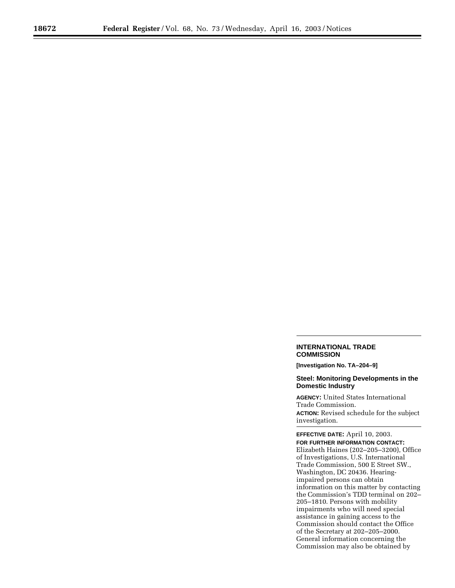## **INTERNATIONAL TRADE COMMISSION**

**[Investigation No. TA–204–9]** 

## **Steel: Monitoring Developments in the Domestic Industry**

**AGENCY:** United States International Trade Commission. **ACTION:** Revised schedule for the subject investigation.

**EFFECTIVE DATE:** April 10, 2003. **FOR FURTHER INFORMATION CONTACT:** Elizabeth Haines (202–205–3200), Office of Investigations, U.S. International Trade Commission, 500 E Street SW., Washington, DC 20436. Hearingimpaired persons can obtain information on this matter by contacting the Commission's TDD terminal on 202– 205–1810. Persons with mobility impairments who will need special assistance in gaining access to the Commission should contact the Office of the Secretary at 202–205–2000. General information concerning the Commission may also be obtained by